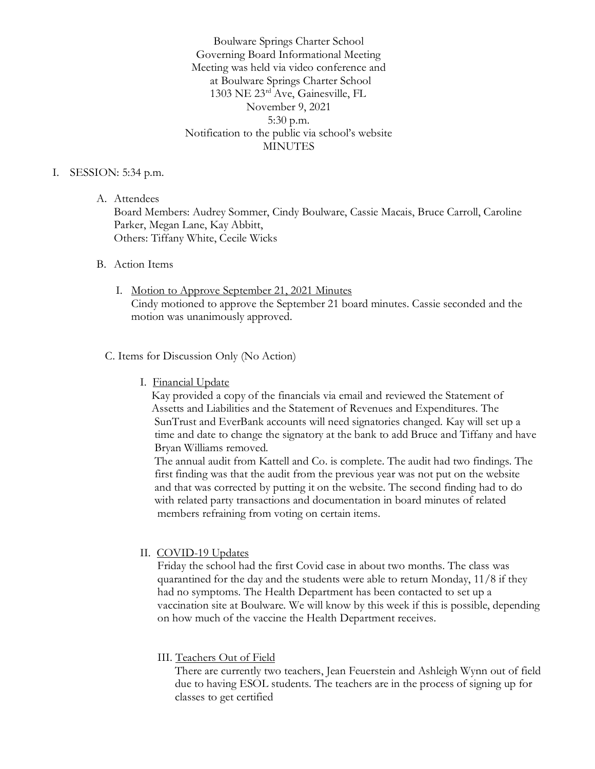Boulware Springs Charter School Governing Board Informational Meeting Meeting was held via video conference and at Boulware Springs Charter School 1303 NE 23rd Ave, Gainesville, FL November 9, 2021 5:30 p.m. Notification to the public via school's website **MINUTES** 

#### I. SESSION: 5:34 p.m.

A. Attendees

Board Members: Audrey Sommer, Cindy Boulware, Cassie Macais, Bruce Carroll, Caroline Parker, Megan Lane, Kay Abbitt, Others: Tiffany White, Cecile Wicks

### B. Action Items

I. Motion to Approve September 21, 2021 Minutes Cindy motioned to approve the September 21 board minutes. Cassie seconded and the motion was unanimously approved.

### C. Items for Discussion Only (No Action)

I. Financial Update

 Kay provided a copy of the financials via email and reviewed the Statement of Assetts and Liabilities and the Statement of Revenues and Expenditures. The SunTrust and EverBank accounts will need signatories changed. Kay will set up a time and date to change the signatory at the bank to add Bruce and Tiffany and have Bryan Williams removed.

 The annual audit from Kattell and Co. is complete. The audit had two findings. The first finding was that the audit from the previous year was not put on the website and that was corrected by putting it on the website. The second finding had to do with related party transactions and documentation in board minutes of related members refraining from voting on certain items.

### II. COVID-19 Updates

 Friday the school had the first Covid case in about two months. The class was quarantined for the day and the students were able to return Monday, 11/8 if they had no symptoms. The Health Department has been contacted to set up a vaccination site at Boulware. We will know by this week if this is possible, depending on how much of the vaccine the Health Department receives.

### III. Teachers Out of Field

 There are currently two teachers, Jean Feuerstein and Ashleigh Wynn out of field due to having ESOL students. The teachers are in the process of signing up for classes to get certified